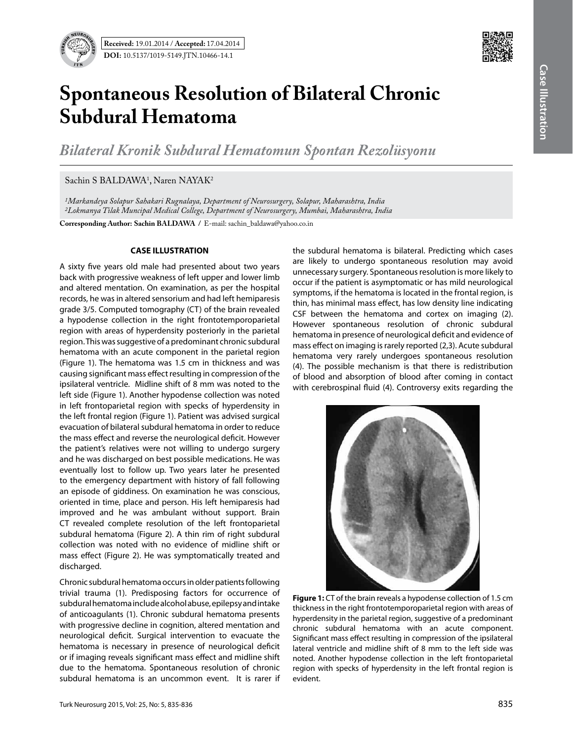

## **Spontaneous Resolution of Bilateral Chronic Subdural Hematoma**

*Bilateral Kronik Subdural Hematomun Spontan Rezolüsyonu*

Sachin S BALDAWA<sup>1</sup>, Naren NAYAK<sup>2</sup>

*1Markandeya Solapur Sahakari Rugnalaya, Department of Neurosurgery, Solapur, Maharashtra, India 2Lokmanya Tilak Muncipal Medical College, Department of Neurosurgery, Mumbai, Maharashtra, India*

**Corresponding Author: Sachin BALDAWA / E-mail: sachin\_baldawa@yahoo.co.in** 

## **CASE ILLUSTRATION**

A sixty five years old male had presented about two years back with progressive weakness of left upper and lower limb and altered mentation. On examination, as per the hospital records, he was in altered sensorium and had left hemiparesis grade 3/5. Computed tomography (CT) of the brain revealed a hypodense collection in the right frontotemporoparietal region with areas of hyperdensity posteriorly in the parietal region. This was suggestive of a predominant chronic subdural hematoma with an acute component in the parietal region (Figure 1). The hematoma was 1.5 cm in thickness and was causing significant mass effect resulting in compression of the ipsilateral ventricle. Midline shift of 8 mm was noted to the left side (Figure 1). Another hypodense collection was noted in left frontoparietal region with specks of hyperdensity in the left frontal region (Figure 1). Patient was advised surgical evacuation of bilateral subdural hematoma in order to reduce the mass effect and reverse the neurological deficit. However the patient's relatives were not willing to undergo surgery and he was discharged on best possible medications. He was eventually lost to follow up. Two years later he presented to the emergency department with history of fall following an episode of giddiness. On examination he was conscious, oriented in time, place and person. His left hemiparesis had improved and he was ambulant without support. Brain CT revealed complete resolution of the left frontoparietal subdural hematoma (Figure 2). A thin rim of right subdural collection was noted with no evidence of midline shift or mass effect (Figure 2). He was symptomatically treated and discharged.

Chronic subdural hematoma occurs in older patients following trivial trauma (1). Predisposing factors for occurrence of subdural hematoma include alcohol abuse, epilepsy and intake of anticoagulants (1). Chronic subdural hematoma presents with progressive decline in cognition, altered mentation and neurological deficit. Surgical intervention to evacuate the hematoma is necessary in presence of neurological deficit or if imaging reveals significant mass effect and midline shift due to the hematoma. Spontaneous resolution of chronic subdural hematoma is an uncommon event. It is rarer if the subdural hematoma is bilateral. Predicting which cases are likely to undergo spontaneous resolution may avoid unnecessary surgery. Spontaneous resolution is more likely to occur if the patient is asymptomatic or has mild neurological symptoms, if the hematoma is located in the frontal region, is thin, has minimal mass effect, has low density line indicating CSF between the hematoma and cortex on imaging (2). However spontaneous resolution of chronic subdural hematoma in presence of neurological deficit and evidence of mass effect on imaging is rarely reported (2,3). Acute subdural hematoma very rarely undergoes spontaneous resolution (4). The possible mechanism is that there is redistribution of blood and absorption of blood after coming in contact with cerebrospinal fluid (4). Controversy exits regarding the



**Figure 1:** CT of the brain reveals a hypodense collection of 1.5 cm thickness in the right frontotemporoparietal region with areas of hyperdensity in the parietal region, suggestive of a predominant chronic subdural hematoma with an acute component. Significant mass effect resulting in compression of the ipsilateral lateral ventricle and midline shift of 8 mm to the left side was noted. Another hypodense collection in the left frontoparietal region with specks of hyperdensity in the left frontal region is evident.